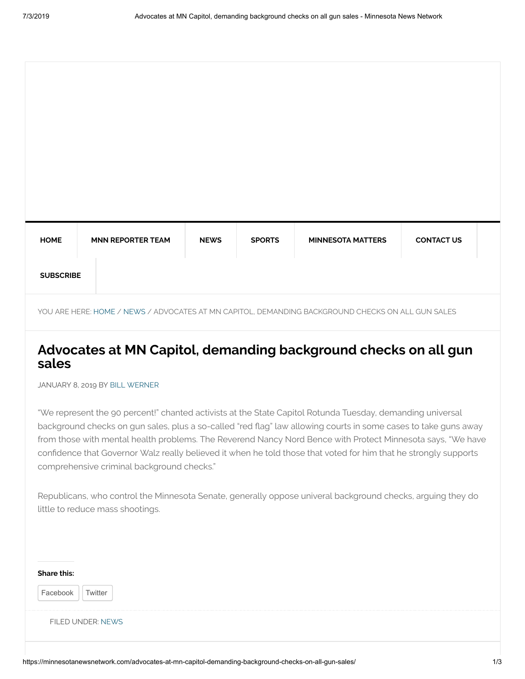| <b>HOME</b>      | <b>MNN REPORTER TEAM</b> | <b>NEWS</b> | <b>SPORTS</b> | <b>MINNESOTA MATTERS</b> | <b>CONTACT US</b> |  |
|------------------|--------------------------|-------------|---------------|--------------------------|-------------------|--|
| <b>SUBSCRIBE</b> |                          |             |               |                          |                   |  |

YOU ARE HERE: [HOME](https://minnesotanewsnetwork.com/) / [NEWS](https://minnesotanewsnetwork.com/category/news/) / ADVOCATES AT MN CAPITOL, DEMANDING BACKGROUND CHECKS ON ALL GUN SALES

# **Advocates at MN Capitol, demanding background checks on all gun sales**

JANUARY 8, 2019 BY [BILL WERNER](https://minnesotanewsnetwork.com/author/bwerner/)

"We represent the 90 percent!" chanted activists at the State Capitol Rotunda Tuesday, demanding universal background checks on gun sales, plus a so-called "red flag" law allowing courts in some cases to take guns away from those with mental health problems. The Reverend Nancy Nord Bence with Protect Minnesota says, "We have confidence that Governor Walz really believed it when he told those that voted for him that he strongly supports comprehensive criminal background checks."

Republicans, who control the Minnesota Senate, generally oppose univeral background checks, arguing they do little to reduce mass shootings.

| <b>Share this:</b>  |  |  |  |
|---------------------|--|--|--|
| Twitter<br>Facebook |  |  |  |
| FILED UNDER: NEWS   |  |  |  |
|                     |  |  |  |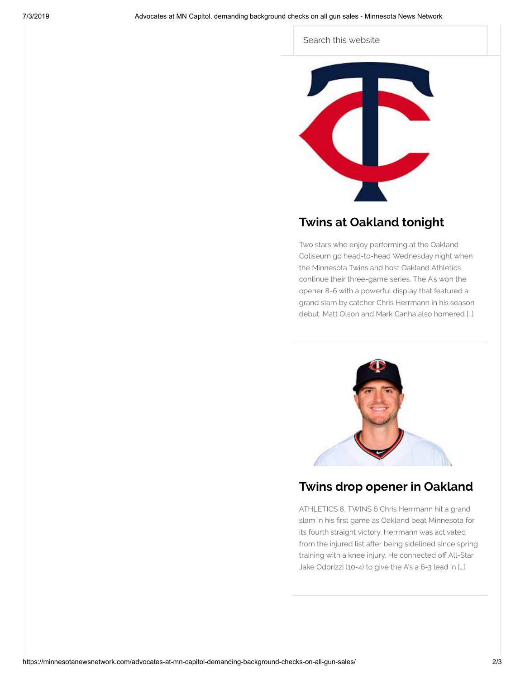#### Search this website



## **[Twins at Oakland tonight](https://minnesotanewsnetwork.com/twins-at-oakland-tonight/)**

Two stars who enjoy performing at the Oakland Coliseum go head-to-head Wednesday night when the Minnesota Twins and host Oakland Athletics continue their three-game series. The A's won the opener 8-6 with a powerful display that featured a grand slam by catcher Chris Herrmann in his season debut. Matt Olson and Mark Canha also homered […]



### **[Twins drop opener in Oakland](https://minnesotanewsnetwork.com/twins-drop-opener-in-oakland/)**

ATHLETICS 8, TWINS 6 Chris Herrmann hit a grand slam in his first game as Oakland beat Minnesota for its fourth straight victory. Herrmann was activated from the injured list after being sidelined since spring training with a knee injury. He connected off All-Star Jake Odorizzi (10-4) to give the A's a 6-3 lead in […]